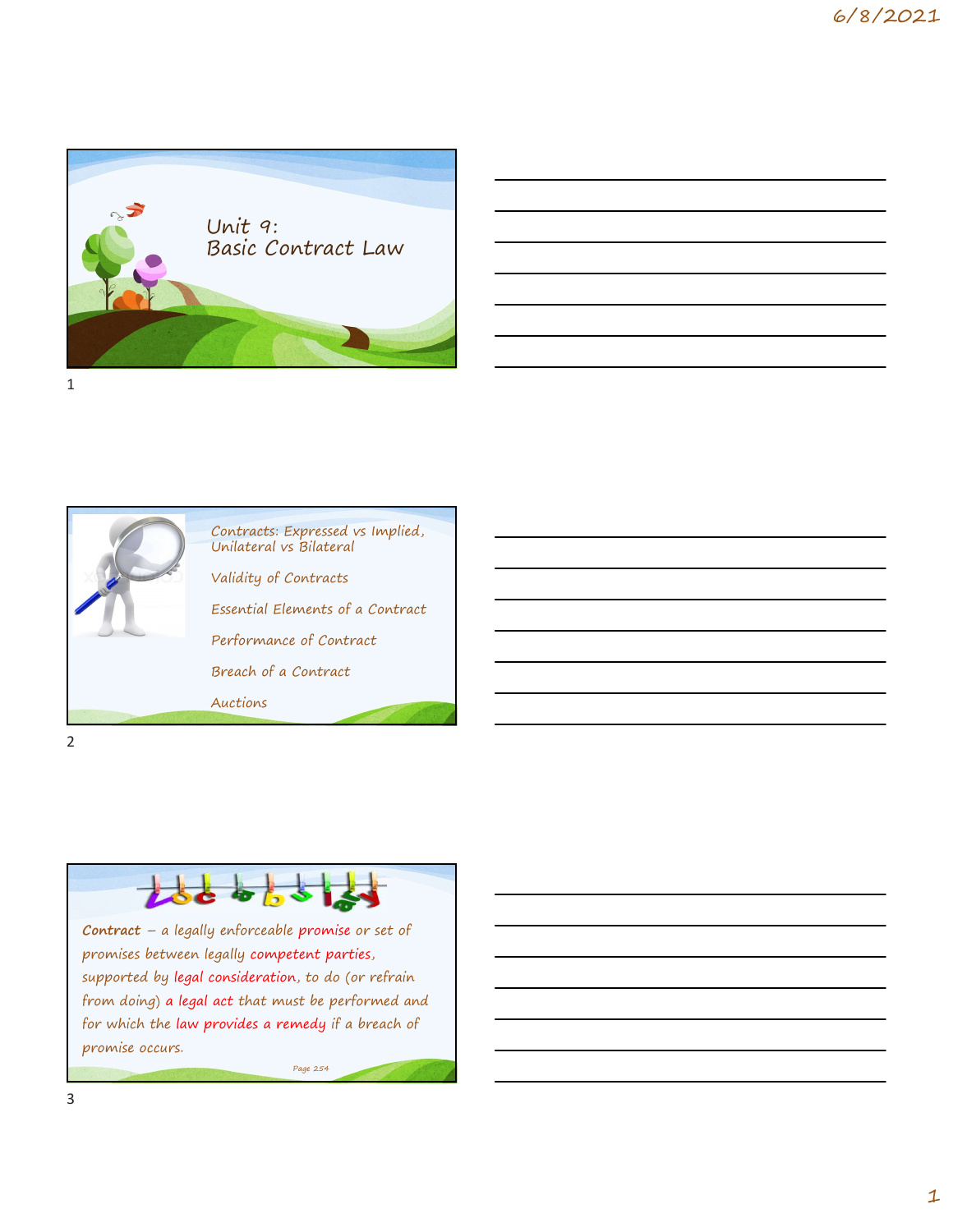

| <u> 1989 - Jan Salaman Salaman (j. 1989)</u>                                                                          |  |  |
|-----------------------------------------------------------------------------------------------------------------------|--|--|
| <u> 1989 - Andrea Andrew Maria (h. 1989).</u>                                                                         |  |  |
| <u> 1989 - Johann Stoff, deutscher Stoff, der Stoff, der Stoff, der Stoff, der Stoff, der Stoff, der Stoff, der S</u> |  |  |
| <u> 1989 - Jan Barat, margaret amerikan bahasa di sebagai bahasa di sebagai bahasa di sebagai bahasa di sebagai b</u> |  |  |
|                                                                                                                       |  |  |



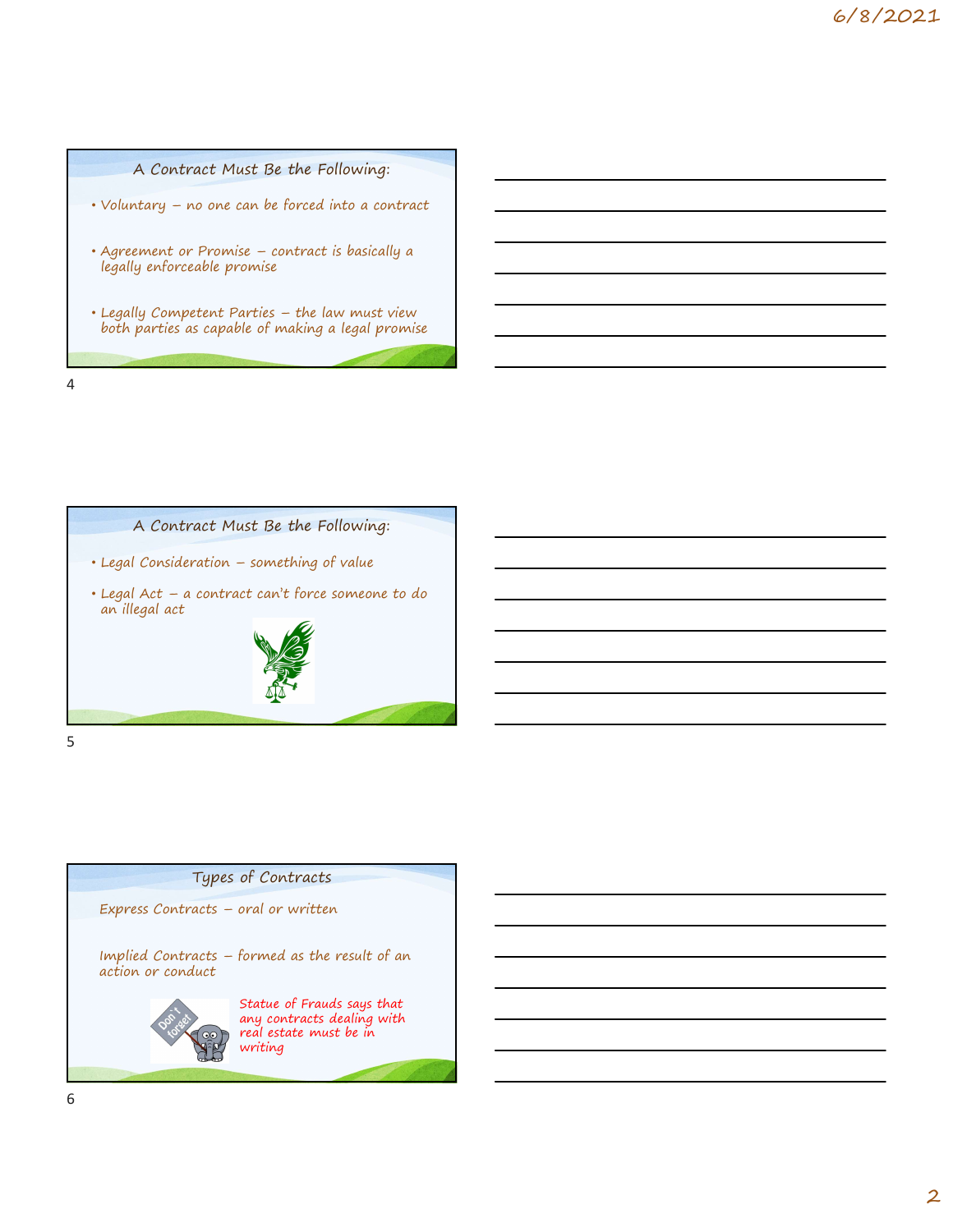



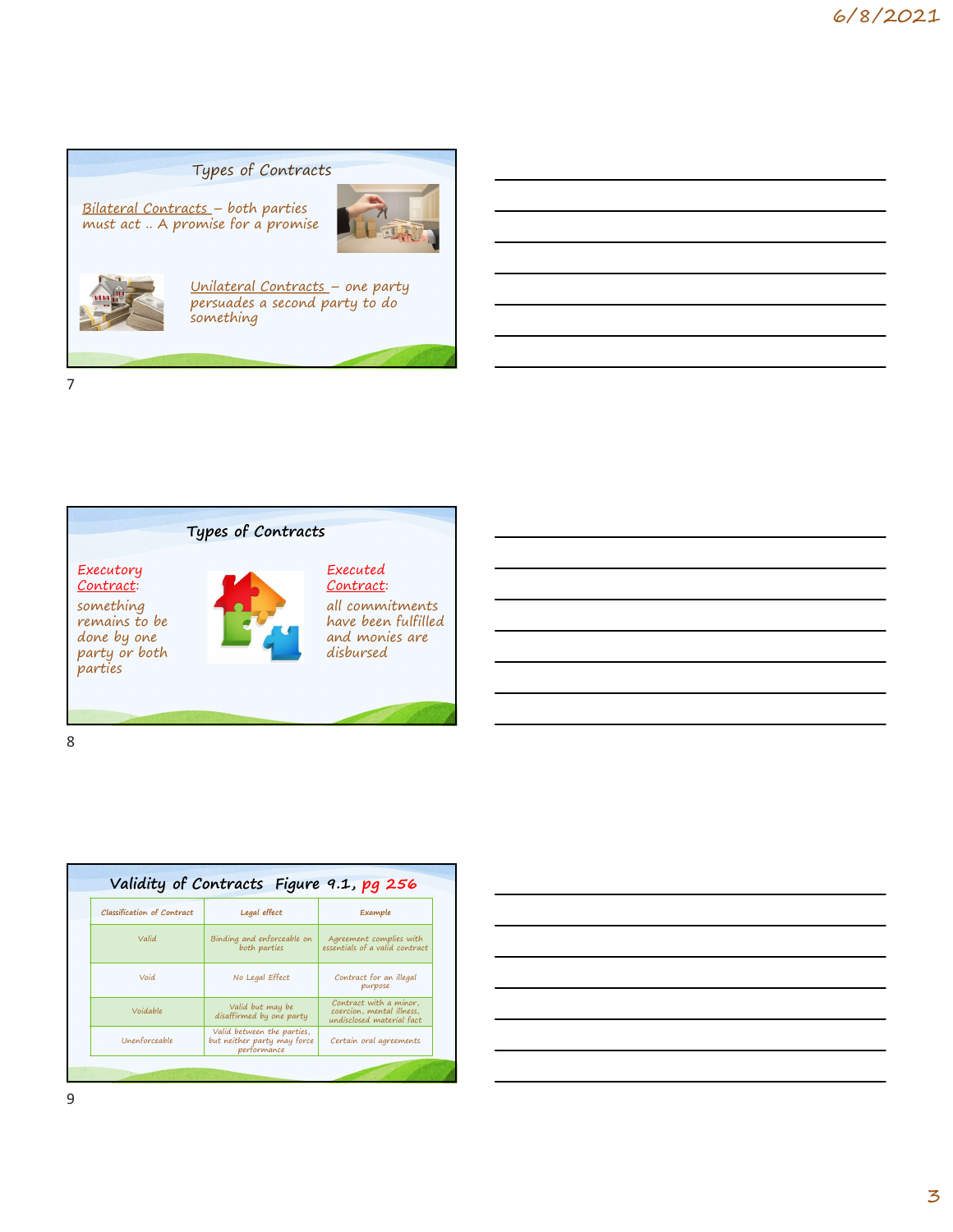### Types of Contracts





Types of Contracts<br>Bilateral Contracts – both parties<br>must act .. A promise for a promise<br>persuades a second party to do<br>something<br>something Types of Contracts<br>
<u>ets</u> - both parties<br>
smise for a promise<br>
Unilateral Contracts - one party<br>
persuades a second party to do<br>
Something<br>
Something Unilateral Contracts – one party<br>persuades a second party to do something



| something<br>remains to be<br>done by one<br>party or both<br>parties |                                              | Contract:<br>all commitments<br>have been fulfilled<br>and monies are<br>disbursed |  |  |
|-----------------------------------------------------------------------|----------------------------------------------|------------------------------------------------------------------------------------|--|--|
|                                                                       |                                              |                                                                                    |  |  |
|                                                                       |                                              |                                                                                    |  |  |
|                                                                       |                                              |                                                                                    |  |  |
|                                                                       |                                              |                                                                                    |  |  |
|                                                                       |                                              |                                                                                    |  |  |
|                                                                       |                                              |                                                                                    |  |  |
|                                                                       |                                              |                                                                                    |  |  |
|                                                                       | Validity of Contracts Figure 9.1, pg 256     |                                                                                    |  |  |
| Classification of Contract                                            | Legal effect                                 | Example                                                                            |  |  |
| Valid                                                                 | Binding and enforceable on<br>both parties   | Agreement complies with<br>essentials of a valid contract                          |  |  |
| Void                                                                  | No Legal Effect                              | Contract for an illegal<br>purpose                                                 |  |  |
| Voidable                                                              | Valid but may be<br>disaffirmed by one party | Contract with a minor,<br>coercion, mental illness,<br>undisclosed material fact   |  |  |

| one<br>· both    |                                                                          | have been fulfilled<br>and monies are<br>disbursed   |  |  |  |
|------------------|--------------------------------------------------------------------------|------------------------------------------------------|--|--|--|
| tion of Contract | idity of Contracts Figure 9.1, pg 256<br>Legal effect                    | Example                                              |  |  |  |
| Valid            | Binding and enforceable on                                               | Agreement complies with                              |  |  |  |
|                  | both parties                                                             | essentials of a valid contract                       |  |  |  |
| Void             | No Legal Effect                                                          | Contract for an illegal<br>purpose                   |  |  |  |
| Voidable         | Valid but may be<br>disaffirmed by one party                             | Contract with a minor,<br>coercion, mental illness,  |  |  |  |
| enforceable      | Valid between the parties,<br>but neither party may force<br>performance | undisclosed material fact<br>Certain oral agreements |  |  |  |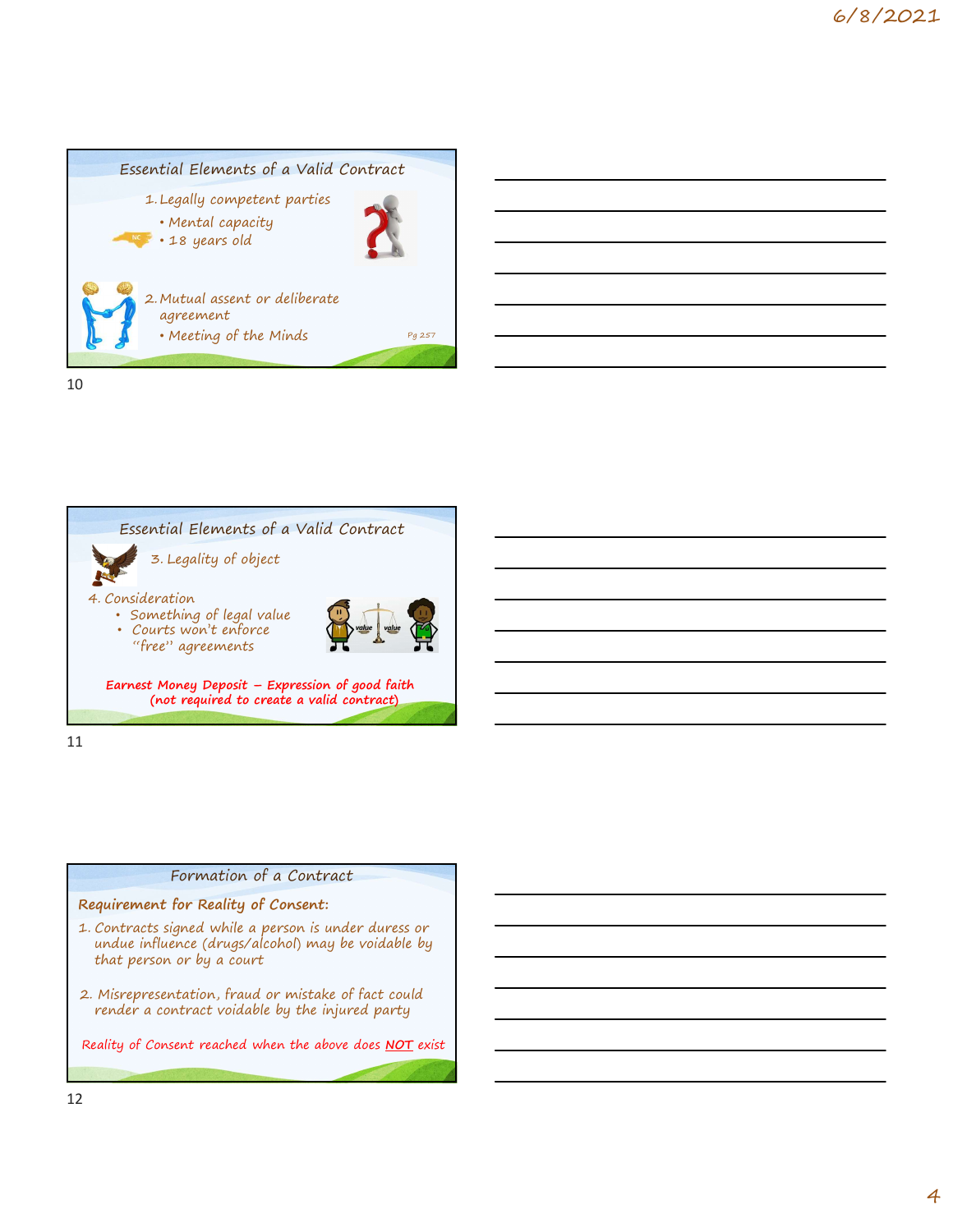



#### Formation of a Contract

#### Requirement for Reality of Consent:

- that person or by a court
- 2. Misrepresentation, fraud or mistake of fact could render a contract voidable by the injured party

Reality of Consent reached when the above does NOT exist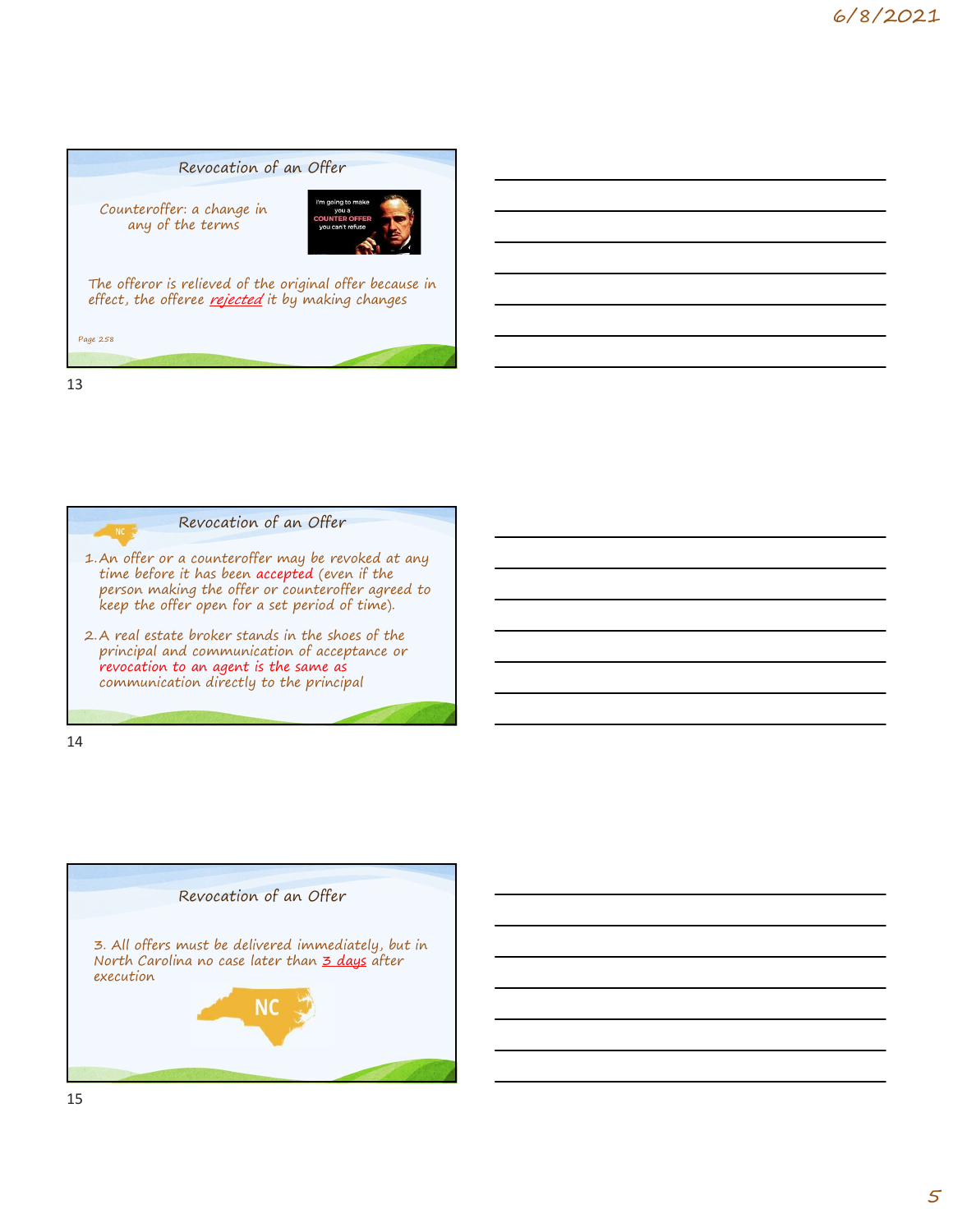## Revocation of an Offer Counteroffer: a change in any of the terms The offeror is relieved of the original offer because in effect, the offeree *rejected* it by making changes Page 258 and 258 and 258 and 258 and 258 and 258 and 258 and 258 and 258 and 258 and 258 and 258 and 258 and 25 Counteroffer: a change in<br>
any of the terms<br>
The offeror is relieved of the original offer because in<br>
effect, the offeree <u>reverent</u> it by making changes<br>
such that offer or a counteroffer may be revoked at any<br>
time befo The offeror is relieved of the original offer because in<br>effect, the offeree <u>rejected</u> it by making changes<br>for the shoester standard in the shoester of the shoes of the shoes of the shoes of the shoes of the shoes of the

13

Revocation of an Offer

- time before it has been accepted (even if the<br>person making the offer or counteroffer agreed to keep the offer open for a set period of time).
- principal and communication of acceptance or revocation to an agent is the same as communication directly to the principal

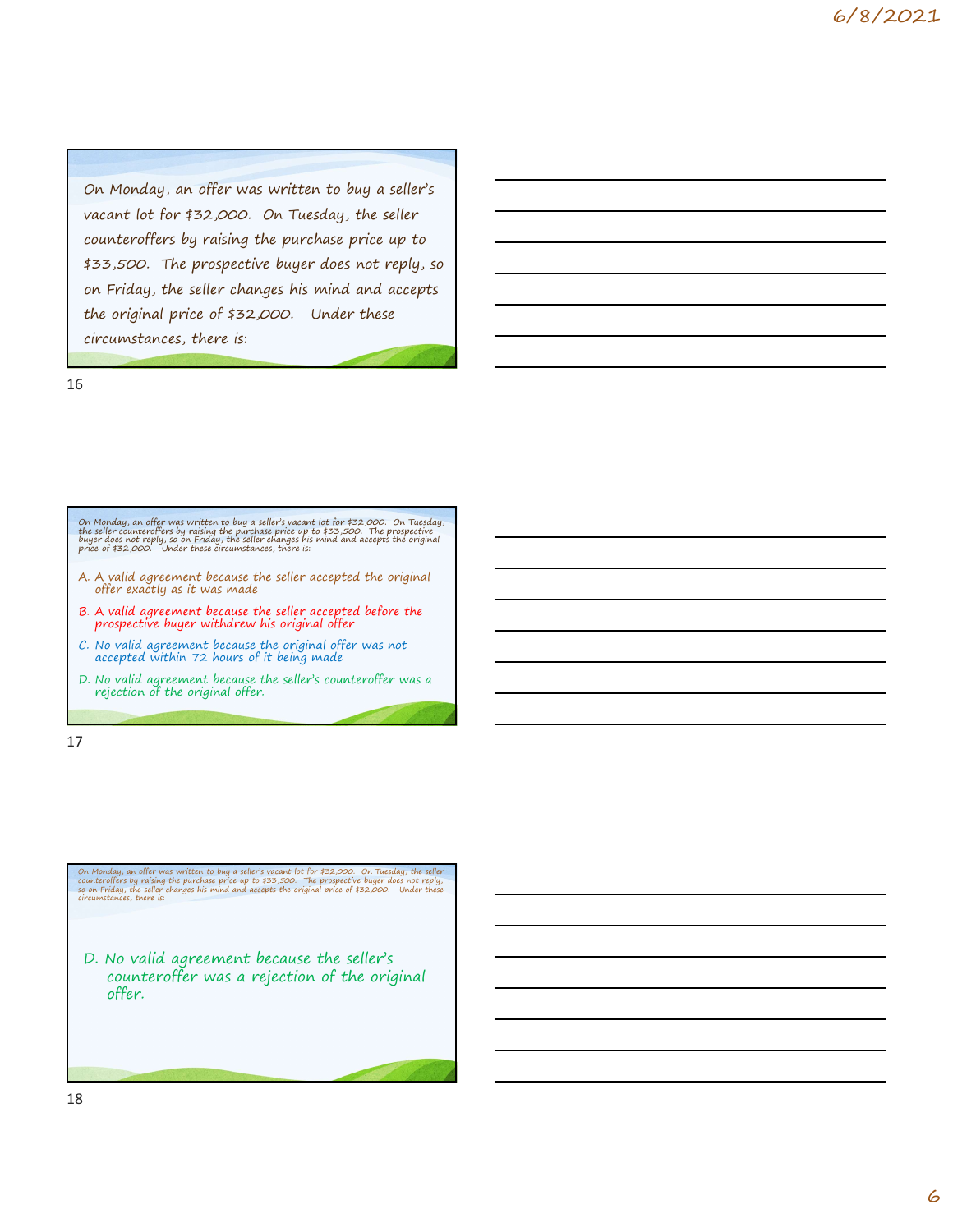On Monday, an offer was written to buy a seller's vacant lot for \$32,000. On Tuesday, the seller counteroffers by raising the purchase price up to \$33,500. The prospective buyer does not reply, so on Friday, the seller changes his mind and accepts the original price of \$32,000. Under these circumstances, there is: Counteroffers by raising the purchase price up to<br>
433,500. The prospective buyer does not reply, so<br>
on Friday, the seller changes his mind and accepts<br>
the original price of \$32,000. Under these<br>
circumstances, there is: \$33,500. The prospective buyer does not reply, so<br>on Friday, the seller changes his mind and accepts<br>the original price of \$32,000. Under these<br>circumstances, there is:<br><br><br>aby the selection of the prospection of the prospec on Friday, the seller changes his mind and accepts<br>the original price of \$32,000. Under these<br>circumstances, there is:<br><br><br>S. No Marday, an offer was verified to buy a subtry value for it  $32,000$ . On Turday,<br><br>the different

16

On Monday, an offer was written to buy a seller's vacant lot for \$32,000. On Tuesday, the seller counteroffers by raising the purchase price up to \$33,500. The prospective buyer does not reply, so on Friday, the seller cha Continuation and the was verified to buy a relief syncate to the 132,000. On Tuesday, they reduce not regular to the original of the original of the original of the original of the original of the original of the original

- 
- 
- 
- 

17

On Monday, an offer was written to buy a seller's vacant lot for \$32,000. On Tuesday, the seller<br>counteroffers by raising the purchase price up to \$33,500. The prospective buyer does not reply,<br>so on Friday, the seller cha

D. No valid agreement because the seller's counteroffer was a rejection of the original offer.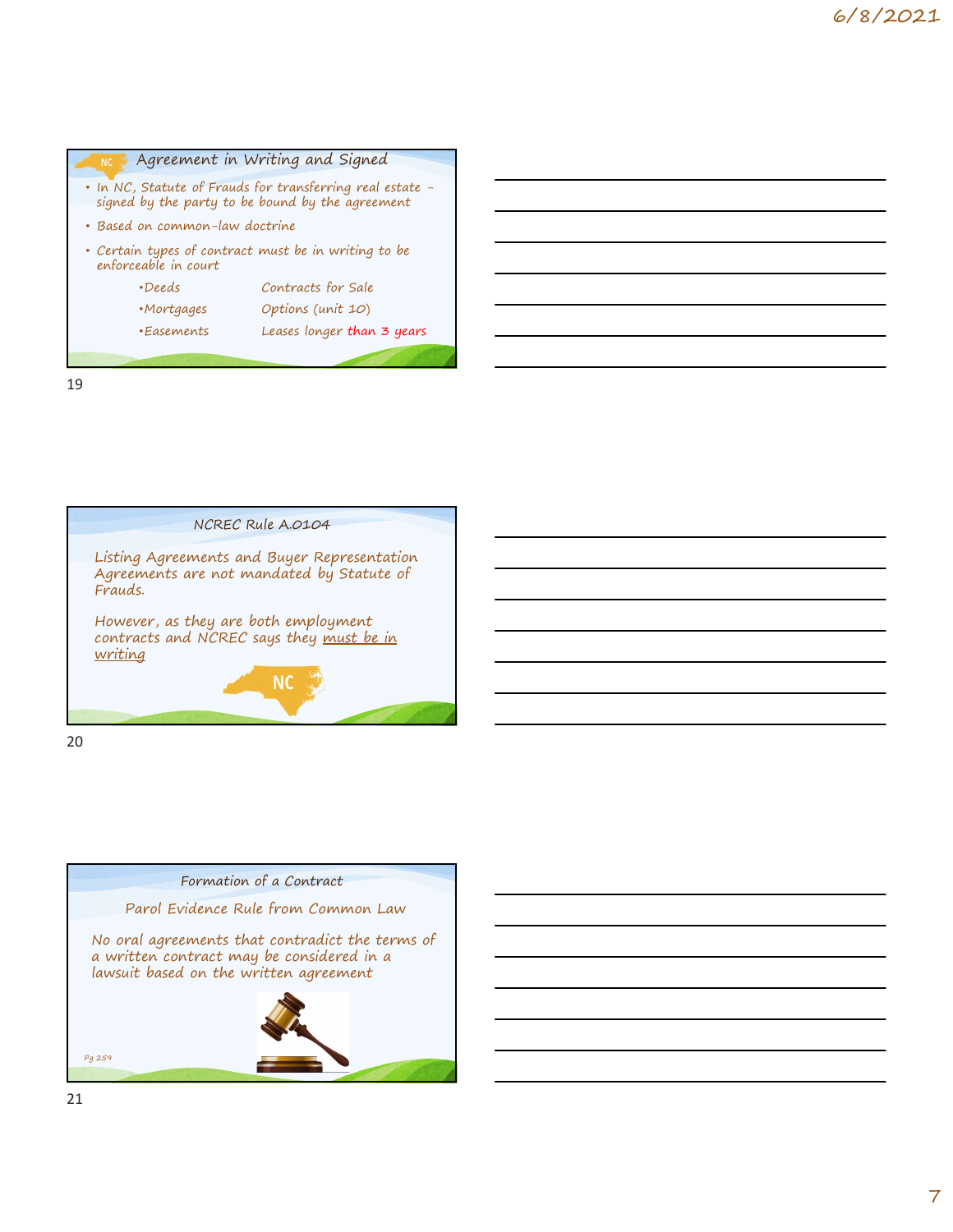| <b>NC</b> |                                | Agreement in Writing and Signed                                                                               |  |  |
|-----------|--------------------------------|---------------------------------------------------------------------------------------------------------------|--|--|
|           |                                | • In NC, Statute of Frauds for transferring real estate -<br>signed by the party to be bound by the agreement |  |  |
|           | · Based on common-law doctrine |                                                                                                               |  |  |
|           | enforceable in court           | • Certain types of contract must be in writing to be                                                          |  |  |
|           | •Deeds                         | Contracts for Sale                                                                                            |  |  |
|           | •Mortgages                     | Options (unit 10)                                                                                             |  |  |
|           | •Easements                     | Leases longer than 3 years                                                                                    |  |  |
|           |                                |                                                                                                               |  |  |
| 19        |                                |                                                                                                               |  |  |
|           |                                |                                                                                                               |  |  |
|           |                                |                                                                                                               |  |  |
|           |                                |                                                                                                               |  |  |
|           |                                |                                                                                                               |  |  |





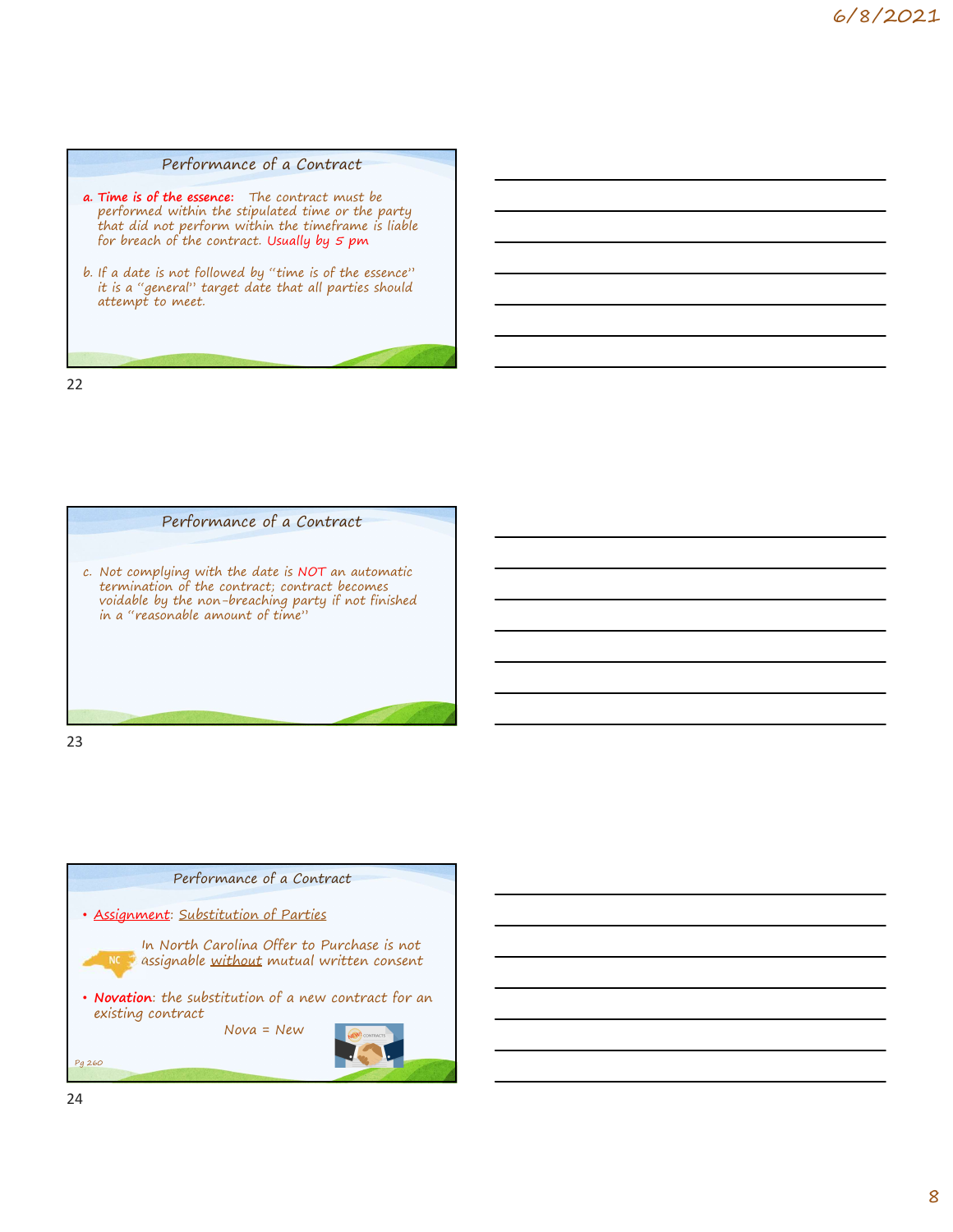

- Performance of a Contract<br>
a. Time is of the essence: The contract must be<br>
performed within the stipulated time or the party<br>
that did not perform within the timeframe is liable<br>
for breach of the contract. Usually by 5 p performed within the stipulated time or the party **that did not perform within the timeframe** is liable **that did not perform within the timeframe** is liable for breach of the contract. Usually by 5 pm Performance of a Contract<br>
a. Time is of the essence: The contract must be<br>
performed within the stipulated time or the party<br>
that did not perform within the simelaring is independent<br>
for breach of the contract. Usually
- it is a "general" target date that all parties should attempt to meet.



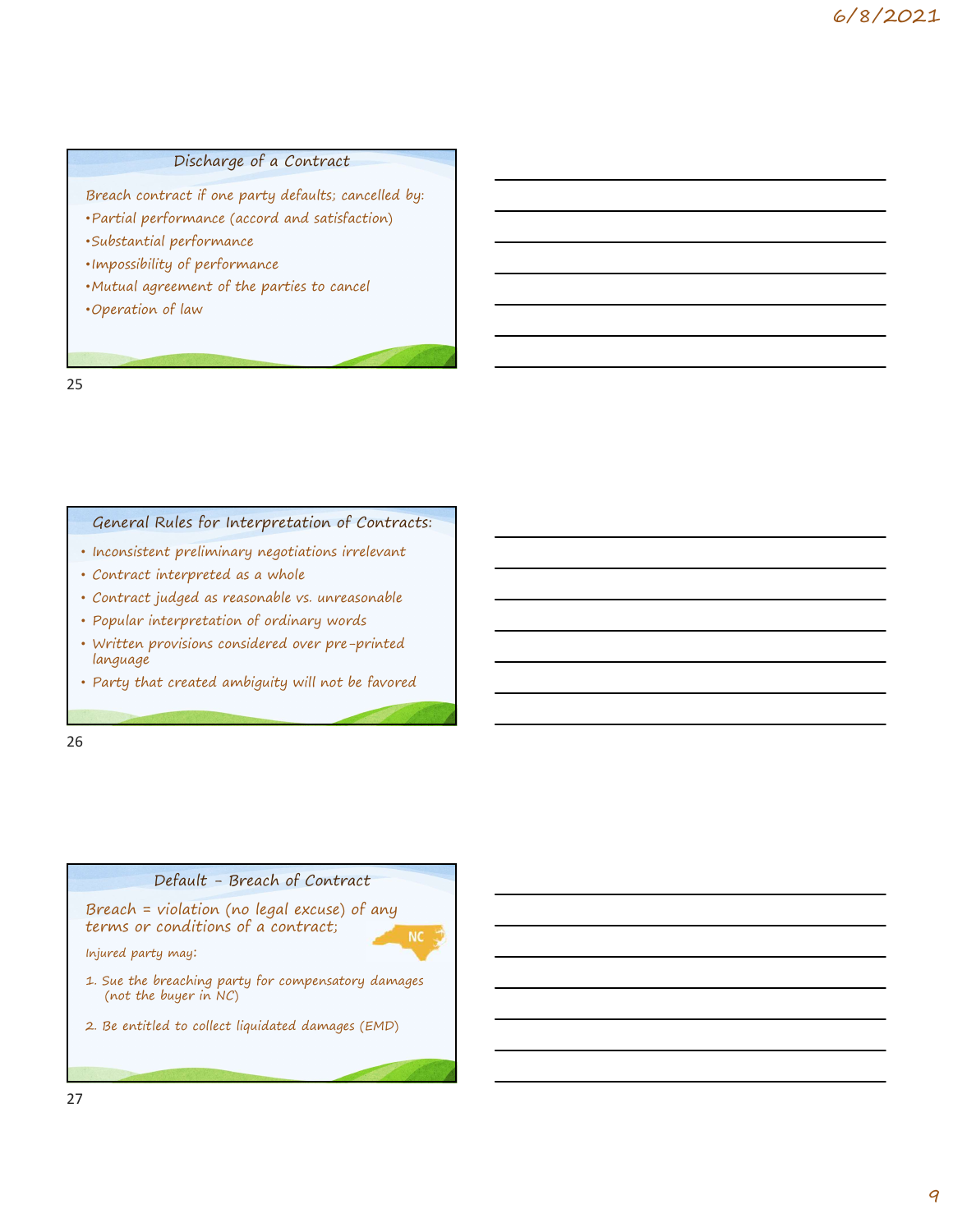#### Discharge of a Contract

Breach contract if one party defaults; cancelled by:

- •Partial performance (accord and satisfaction)
- •Substantial performance
- •Impossibility of performance
- •Mutual agreement of the parties to cancel
- •Operation of law

25

#### General Rules for Interpretation of Contracts:

- Inconsistent preliminary negotiations irrelevant
- Contract interpreted as a whole
- Contract judged as reasonable vs. unreasonable
- Popular interpretation of ordinary words
- Written provisions considered over pre-printed language
- Party that created ambiguity will not be favored

26 and the contract of the contract of the contract of the contract of the contract of the contract of the contract of the contract of the contract of the contract of the contract of the contract of the contract of the con

# Kules for Interpretation or Contracts:<br>
Interpretation and whole<br>
interpretation of ordinary words<br>
indeed as reasonable vs. unreasonable<br>
Interpretation of ordinary words<br>
It created ambiguity will not be favored<br>
It crea Breach = violation (no legal excuse) of any terms or conditions of a contract;



Injured party may:

- reputar interpretation of ordinary works<br>
Written provisions considered over pre-printed<br>
language<br>
Party that created ambiguity will not be favored<br>
Party that created ambiguity will not be favored<br>
Party that created amb (not the buyer in NC)
- 2. Be entitled to collect liquidated damages (EMD)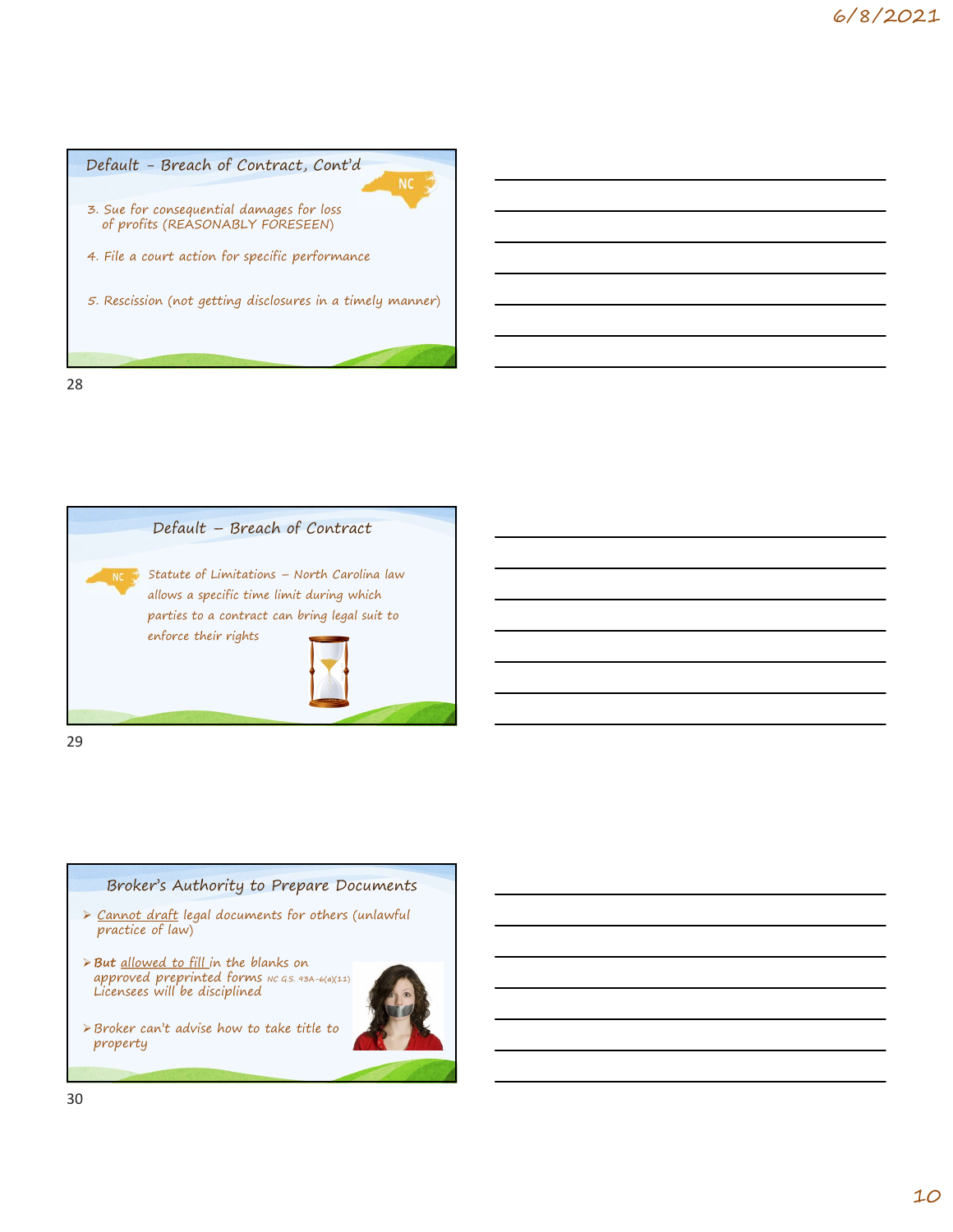



#### Broker's Authority to Prepare Documents

- practice of law)
- **But** <u>allowed to fill i</u>n the blanks on approved preprinted forms  $NC$  G.S. 93A-6(a)(11) Licensees will be disciplined
- Broker can't advise how to take title to property

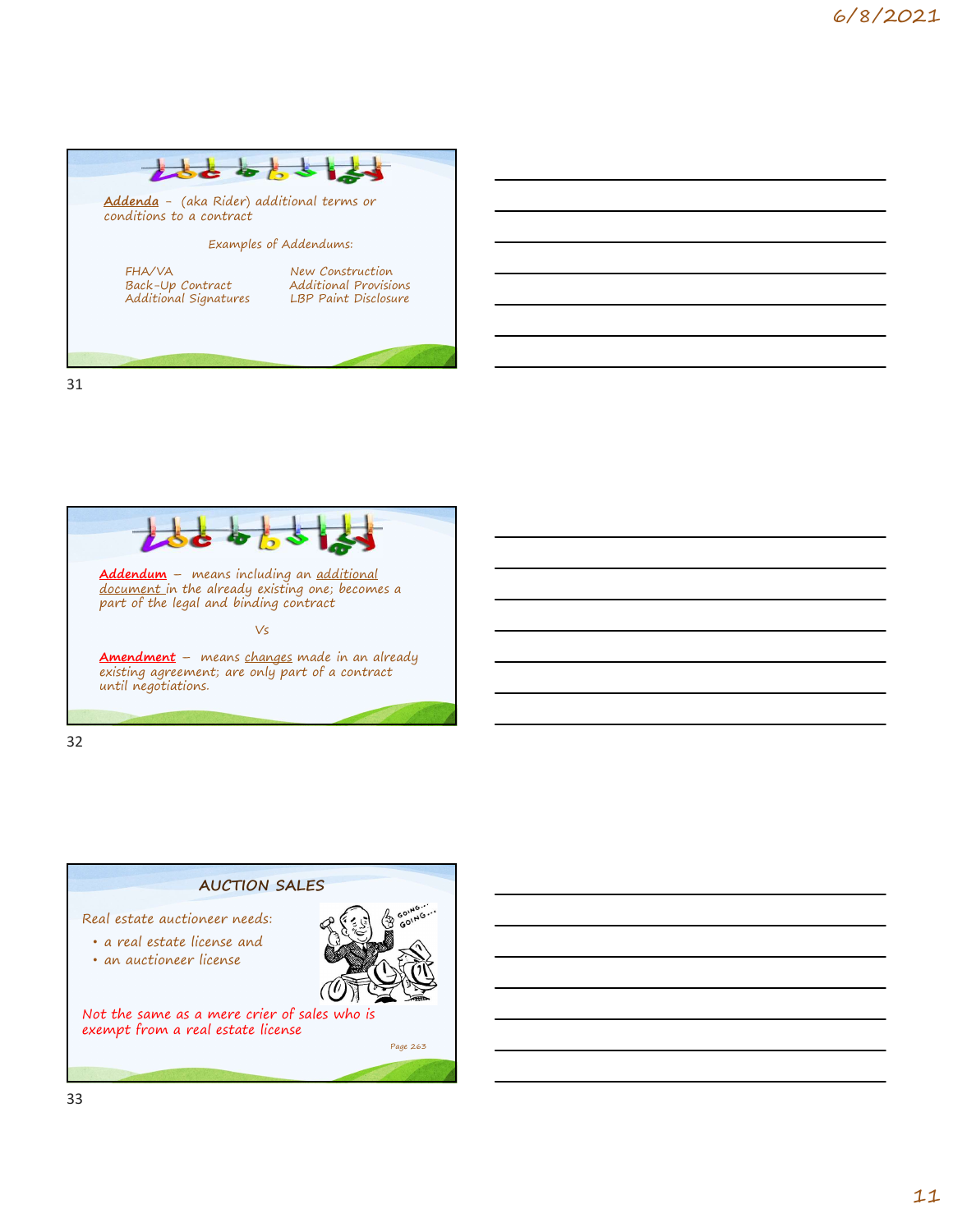



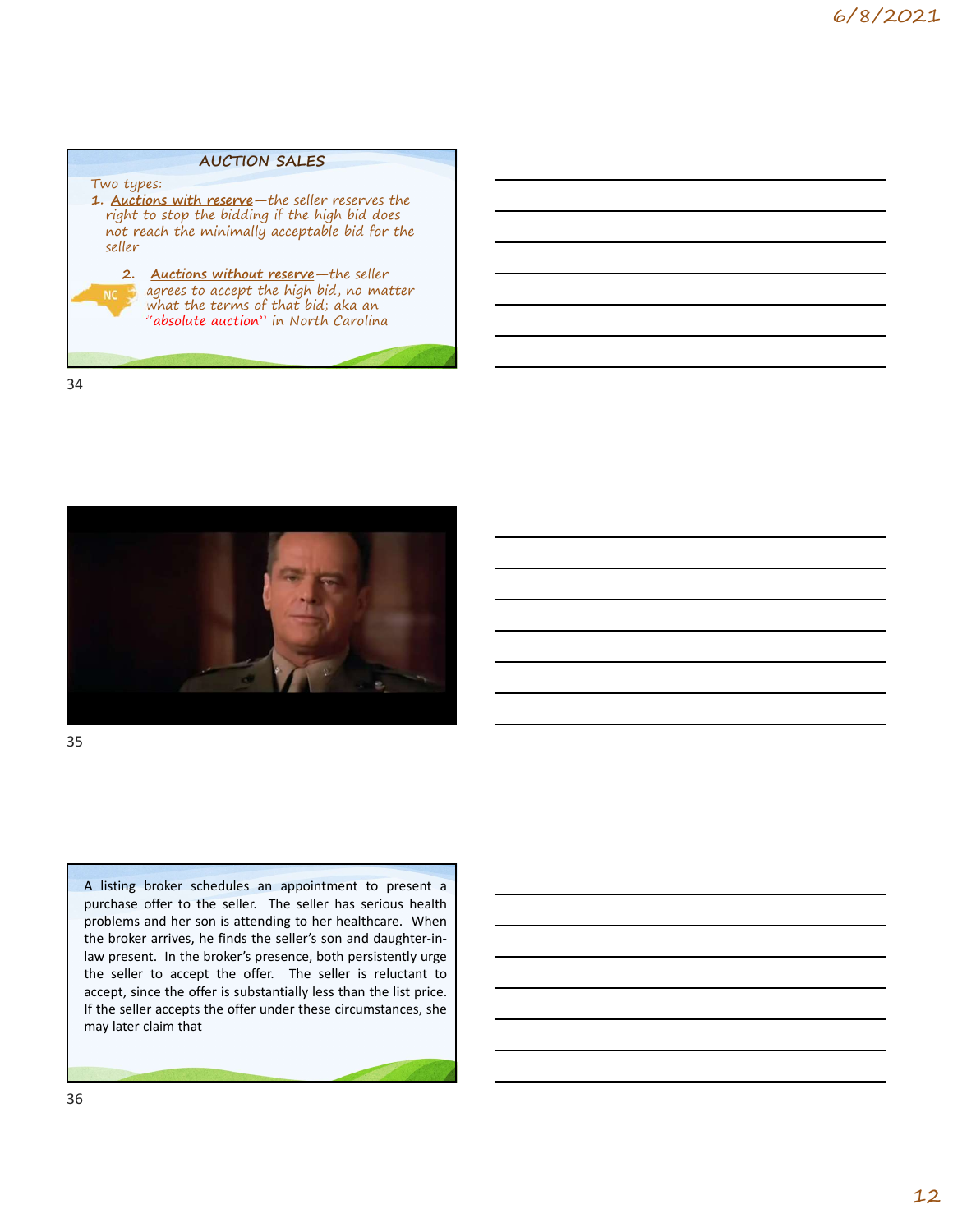#### AUCTION SALES

Two types:<br>1. <u>Auctions with reserve</u>—the seller reserves the AUCTION SALES<br>
1. <u>Auctions with reserve</u>—the seller reserves the<br>
right to stop the bidding if the high bid does<br>
not reach the minimally acceptable bid for the<br>
seller<br>
2. Auctions without reserve—the seller<br>
NCC agrees right to stop the bidding if the high bid does not reach the minimally acceptable bid for the seller AUCTION SALES<br>
types:<br>
actions with reserve—the seller reserves the<br>
ht to stop the bidding if the high bid does<br>
treach the minimally acceptable bid for the<br>
ler<br>
2. Auctions without reserve—the seller<br>
agrees to accept t



agrees to accept the high bid, no matter  $\blacksquare$   $\blacksquare$   $\blacksquare$   $\blacksquare$ "absolute auction" in North Carolina

34



35

A listing broker schedules an appointment to present a<br>purchase offer to the seller. The seller has serious headhed problems and her son is attending to her healthcare. When<br>problems and her son is attending to her healthc A listing broker schedules an appointment to present a<br>purchase offer to the seller. The polehr has serious health<br>problems and her son is attending to her healthcar. When<br>the broker arrives, he finds the seller's son and A listing broker schedules an appointment to present a<br>purchase offer to the seller. The seller has serious health<br>problems and her son is attending to her healthcare. When<br>the broker arrives, he finds the seller's son and